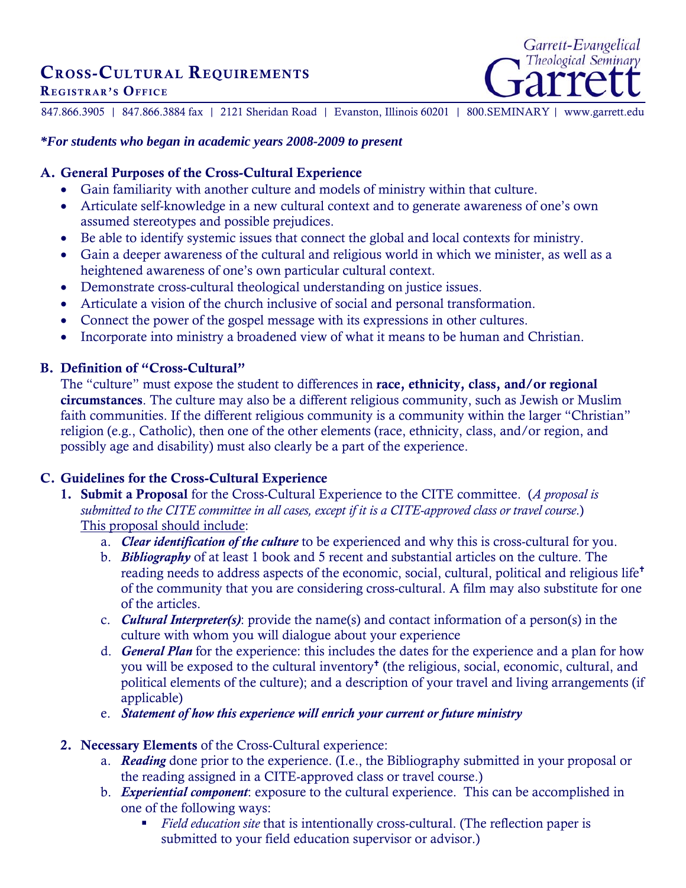# CROSS-CULTURAL REQUIREMENTS REGISTRAR'S OFFICE



847.866.3905 | 847.866.3884 fax | 2121 Sheridan Road | Evanston, Illinois 60201 | 800.SEMINARY | www.garrett.edu

#### *\*For students who began in academic years 2008-2009 to present*

#### A. General Purposes of the Cross-Cultural Experience

- Gain familiarity with another culture and models of ministry within that culture.
- Articulate self-knowledge in a new cultural context and to generate awareness of one's own assumed stereotypes and possible prejudices.
- Be able to identify systemic issues that connect the global and local contexts for ministry.
- Gain a deeper awareness of the cultural and religious world in which we minister, as well as a heightened awareness of one's own particular cultural context.
- Demonstrate cross-cultural theological understanding on justice issues.
- Articulate a vision of the church inclusive of social and personal transformation.
- Connect the power of the gospel message with its expressions in other cultures.
- Incorporate into ministry a broadened view of what it means to be human and Christian.

#### B. Definition of "Cross-Cultural"

The "culture" must expose the student to differences in race, ethnicity, class, and/or regional circumstances. The culture may also be a different religious community, such as Jewish or Muslim faith communities. If the different religious community is a community within the larger "Christian" religion (e.g., Catholic), then one of the other elements (race, ethnicity, class, and/or region, and possibly age and disability) must also clearly be a part of the experience.

### C. Guidelines for the Cross-Cultural Experience

- 1. Submit a Proposal for the Cross-Cultural Experience to the CITE committee. (*A proposal is submitted to the CITE committee in all cases, except if it is a CITE-approved class or travel course*.) This proposal should include:
	- a. *Clear identification of the culture* to be experienced and why this is cross-cultural for you.
	- b. *Bibliography* of at least 1 book and 5 recent and substantial articles on the culture. The reading needs to address aspects of the economic, social, cultural, political and religious life of the community that you are considering cross-cultural. A film may also substitute for one of the articles.
	- c. *Cultural Interpreter(s)*: provide the name(s) and contact information of a person(s) in the culture with whom you will dialogue about your experience
	- d. *General Plan* for the experience: this includes the dates for the experience and a plan for how you will be exposed to the cultural inventory<sup>†</sup> (the religious, social, economic, cultural, and political elements of the culture); and a description of your travel and living arrangements (if applicable)
	- e. *Statement of how this experience will enrich your current or future ministry*
- 2. Necessary Elements of the Cross-Cultural experience:
	- a. *Reading* done prior to the experience. (I.e., the Bibliography submitted in your proposal or the reading assigned in a CITE-approved class or travel course.)
	- b. *Experiential component*: exposure to the cultural experience. This can be accomplished in one of the following ways:
		- *Field education site* that is intentionally cross-cultural. (The reflection paper is submitted to your field education supervisor or advisor.)